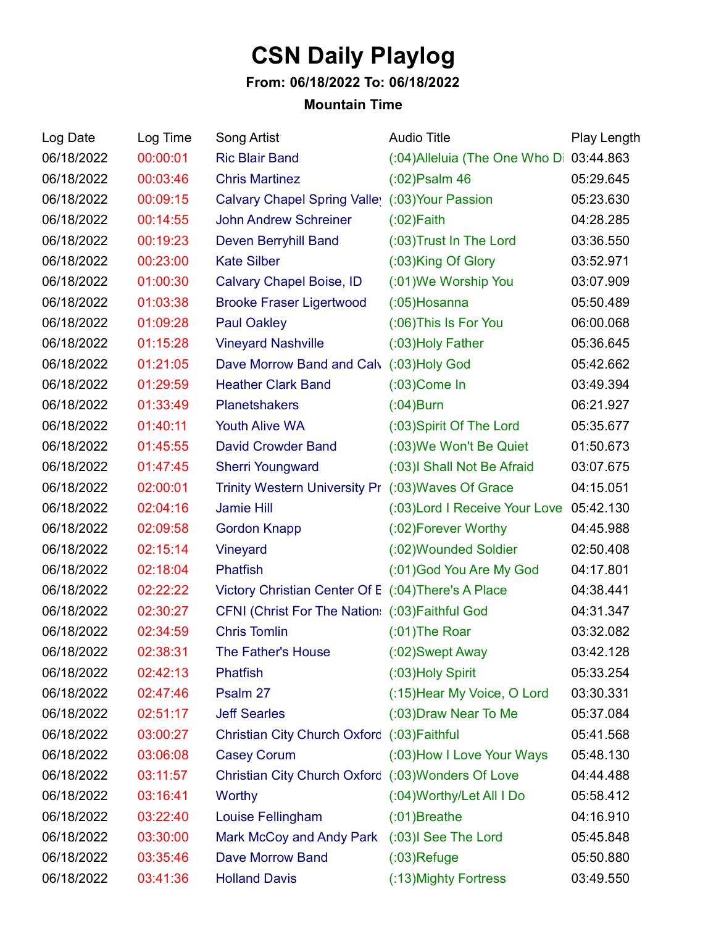## **CSN Daily Playlog**

## **From: 06/18/2022 To: 06/18/2022**

## **Mountain Time**

| Log Date   | Log Time | Song Artist                                         | <b>Audio Title</b>             | Play Length |
|------------|----------|-----------------------------------------------------|--------------------------------|-------------|
| 06/18/2022 | 00:00:01 | <b>Ric Blair Band</b>                               | (:04) Alleluia (The One Who Di | 03:44.863   |
| 06/18/2022 | 00:03:46 | <b>Chris Martinez</b>                               | $(02)$ Psalm 46                | 05:29.645   |
| 06/18/2022 | 00:09:15 | Calvary Chapel Spring Valley (:03) Your Passion     |                                | 05:23.630   |
| 06/18/2022 | 00:14:55 | <b>John Andrew Schreiner</b>                        | $(02)$ Faith                   | 04:28.285   |
| 06/18/2022 | 00:19:23 | <b>Deven Berryhill Band</b>                         | (:03) Trust In The Lord        | 03:36.550   |
| 06/18/2022 | 00:23:00 | <b>Kate Silber</b>                                  | (:03)King Of Glory             | 03:52.971   |
| 06/18/2022 | 01:00:30 | Calvary Chapel Boise, ID                            | (:01) We Worship You           | 03:07.909   |
| 06/18/2022 | 01:03:38 | <b>Brooke Fraser Ligertwood</b>                     | $(0.05)$ Hosanna               | 05:50.489   |
| 06/18/2022 | 01:09:28 | <b>Paul Oakley</b>                                  | (:06) This Is For You          | 06:00.068   |
| 06/18/2022 | 01:15:28 | <b>Vineyard Nashville</b>                           | (:03) Holy Father              | 05:36.645   |
| 06/18/2022 | 01:21:05 | Dave Morrow Band and Calv                           | $(03)$ Holy God                | 05:42.662   |
| 06/18/2022 | 01:29:59 | <b>Heather Clark Band</b>                           | $(0.03)$ Come In               | 03:49.394   |
| 06/18/2022 | 01:33:49 | <b>Planetshakers</b>                                | $(0.04)$ Burn                  | 06:21.927   |
| 06/18/2022 | 01:40:11 | <b>Youth Alive WA</b>                               | (:03) Spirit Of The Lord       | 05:35.677   |
| 06/18/2022 | 01:45:55 | <b>David Crowder Band</b>                           | (:03) We Won't Be Quiet        | 01:50.673   |
| 06/18/2022 | 01:47:45 | <b>Sherri Youngward</b>                             | (:03) Shall Not Be Afraid      | 03:07.675   |
| 06/18/2022 | 02:00:01 | Trinity Western University Pr (:03) Waves Of Grace  |                                | 04:15.051   |
| 06/18/2022 | 02:04:16 | <b>Jamie Hill</b>                                   | (:03) Lord I Receive Your Love | 05:42.130   |
| 06/18/2022 | 02:09:58 | <b>Gordon Knapp</b>                                 | (:02) Forever Worthy           | 04:45.988   |
| 06/18/2022 | 02:15:14 | Vineyard                                            | (:02) Wounded Soldier          | 02:50.408   |
| 06/18/2022 | 02:18:04 | <b>Phatfish</b>                                     | (:01) God You Are My God       | 04:17.801   |
| 06/18/2022 | 02:22:22 | Victory Christian Center Of E (:04) There's A Place |                                | 04:38.441   |
| 06/18/2022 | 02:30:27 | CFNI (Christ For The Nation: (:03) Faithful God     |                                | 04:31.347   |
| 06/18/2022 | 02:34:59 | <b>Chris Tomlin</b>                                 | $(01)$ The Roar                | 03:32.082   |
| 06/18/2022 | 02:38:31 | The Father's House                                  | (:02)Swept Away                | 03:42.128   |
| 06/18/2022 | 02:42:13 | <b>Phatfish</b>                                     | (:03) Holy Spirit              | 05:33.254   |
| 06/18/2022 | 02:47:46 | Psalm 27                                            | (:15) Hear My Voice, O Lord    | 03:30.331   |
| 06/18/2022 | 02:51:17 | <b>Jeff Searles</b>                                 | (:03) Draw Near To Me          | 05:37.084   |
| 06/18/2022 | 03:00:27 | Christian City Church Oxford (:03) Faithful         |                                | 05:41.568   |
| 06/18/2022 | 03:06:08 | <b>Casey Corum</b>                                  | (:03) How I Love Your Ways     | 05:48.130   |
| 06/18/2022 | 03:11:57 | Christian City Church Oxford (:03) Wonders Of Love  |                                | 04:44.488   |
| 06/18/2022 | 03:16:41 | Worthy                                              | (:04) Worthy/Let All I Do      | 05:58.412   |
| 06/18/2022 | 03:22:40 | Louise Fellingham                                   | $(01)$ Breathe                 | 04:16.910   |
| 06/18/2022 | 03:30:00 | Mark McCoy and Andy Park (:03)I See The Lord        |                                | 05:45.848   |
| 06/18/2022 | 03:35:46 | <b>Dave Morrow Band</b>                             | $(03)$ Refuge                  | 05:50.880   |
| 06/18/2022 | 03:41:36 | <b>Holland Davis</b>                                | (:13) Mighty Fortress          | 03:49.550   |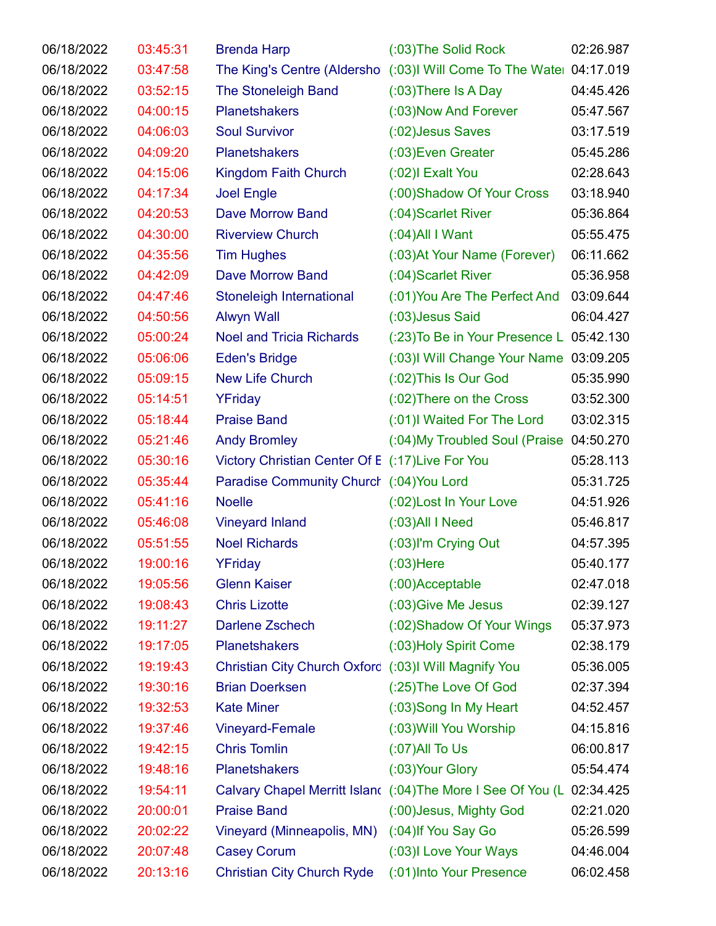| 06/18/2022 | 03:45:31 | <b>Brenda Harp</b>                                   | (:03) The Solid Rock                                                   | 02:26.987 |
|------------|----------|------------------------------------------------------|------------------------------------------------------------------------|-----------|
| 06/18/2022 | 03:47:58 |                                                      | The King's Centre (Aldersho (:03)I Will Come To The Water 04:17.019    |           |
| 06/18/2022 | 03:52:15 | <b>The Stoneleigh Band</b>                           | $(03)$ There Is A Day                                                  | 04:45.426 |
| 06/18/2022 | 04:00:15 | <b>Planetshakers</b>                                 | (:03) Now And Forever                                                  | 05:47.567 |
| 06/18/2022 | 04:06:03 | <b>Soul Survivor</b>                                 | (:02) Jesus Saves                                                      | 03:17.519 |
| 06/18/2022 | 04:09:20 | <b>Planetshakers</b>                                 | (:03) Even Greater                                                     | 05:45.286 |
| 06/18/2022 | 04:15:06 | Kingdom Faith Church                                 | $(02)$ l Exalt You                                                     | 02:28.643 |
| 06/18/2022 | 04:17:34 | <b>Joel Engle</b>                                    | (:00) Shadow Of Your Cross                                             | 03:18.940 |
| 06/18/2022 | 04:20:53 | <b>Dave Morrow Band</b>                              | (:04) Scarlet River                                                    | 05:36.864 |
| 06/18/2022 | 04:30:00 | <b>Riverview Church</b>                              | $(0.04)$ All I Want                                                    | 05:55.475 |
| 06/18/2022 | 04:35:56 | <b>Tim Hughes</b>                                    | (:03) At Your Name (Forever)                                           | 06:11.662 |
| 06/18/2022 | 04:42:09 | <b>Dave Morrow Band</b>                              | (:04) Scarlet River                                                    | 05:36.958 |
| 06/18/2022 | 04:47:46 | Stoneleigh International                             | (:01) You Are The Perfect And                                          | 03:09.644 |
| 06/18/2022 | 04:50:56 | <b>Alwyn Wall</b>                                    | (:03) Jesus Said                                                       | 06:04.427 |
| 06/18/2022 | 05:00:24 | <b>Noel and Tricia Richards</b>                      | (:23) To Be in Your Presence L 05:42.130                               |           |
| 06/18/2022 | 05:06:06 | <b>Eden's Bridge</b>                                 | (:03) I Will Change Your Name 03:09.205                                |           |
| 06/18/2022 | 05:09:15 | <b>New Life Church</b>                               | (:02) This Is Our God                                                  | 05:35.990 |
| 06/18/2022 | 05:14:51 | YFriday                                              | (:02) There on the Cross                                               | 03:52.300 |
| 06/18/2022 | 05:18:44 | <b>Praise Band</b>                                   | (:01) Waited For The Lord                                              | 03:02.315 |
| 06/18/2022 | 05:21:46 | <b>Andy Bromley</b>                                  | (:04) My Troubled Soul (Praise 04:50.270                               |           |
| 06/18/2022 | 05:30:16 | Victory Christian Center Of E (:17) Live For You     |                                                                        | 05:28.113 |
| 06/18/2022 | 05:35:44 | Paradise Community Church (:04) You Lord             |                                                                        | 05:31.725 |
| 06/18/2022 | 05:41:16 | <b>Noelle</b>                                        | (:02) Lost In Your Love                                                | 04:51.926 |
| 06/18/2022 | 05:46:08 | <b>Vineyard Inland</b>                               | $(0.03)$ All I Need                                                    | 05:46.817 |
| 06/18/2022 | 05:51:55 | <b>Noel Richards</b>                                 | (:03)I'm Crying Out                                                    | 04:57.395 |
| 06/18/2022 | 19:00:16 | YFriday                                              | $(03)$ Here                                                            | 05:40.177 |
| 06/18/2022 | 19:05:56 | <b>Glenn Kaiser</b>                                  | (:00)Acceptable                                                        | 02:47.018 |
| 06/18/2022 | 19:08:43 | <b>Chris Lizotte</b>                                 | (:03) Give Me Jesus                                                    | 02:39.127 |
| 06/18/2022 | 19:11:27 | Darlene Zschech                                      | (:02) Shadow Of Your Wings                                             | 05:37.973 |
| 06/18/2022 | 19:17:05 | <b>Planetshakers</b>                                 | (:03) Holy Spirit Come                                                 | 02:38.179 |
| 06/18/2022 | 19:19:43 | Christian City Church Oxford (:03)I Will Magnify You |                                                                        | 05:36.005 |
| 06/18/2022 | 19:30:16 | <b>Brian Doerksen</b>                                | (:25) The Love Of God                                                  | 02:37.394 |
| 06/18/2022 | 19:32:53 | <b>Kate Miner</b>                                    | (:03)Song In My Heart                                                  | 04:52.457 |
| 06/18/2022 | 19:37:46 | <b>Vineyard-Female</b>                               | (:03) Will You Worship                                                 | 04:15.816 |
| 06/18/2022 | 19:42:15 | <b>Chris Tomlin</b>                                  | $(07)$ All To Us                                                       | 06:00.817 |
| 06/18/2022 | 19:48:16 | <b>Planetshakers</b>                                 | (:03) Your Glory                                                       | 05:54.474 |
| 06/18/2022 | 19:54:11 |                                                      | Calvary Chapel Merritt Island (:04) The More I See Of You (L 02:34.425 |           |
| 06/18/2022 | 20:00:01 | <b>Praise Band</b>                                   | (:00) Jesus, Mighty God                                                | 02:21.020 |
| 06/18/2022 | 20:02:22 | Vineyard (Minneapolis, MN)                           | (:04) If You Say Go                                                    | 05:26.599 |
| 06/18/2022 | 20:07:48 | <b>Casey Corum</b>                                   | (:03)I Love Your Ways                                                  | 04:46.004 |
| 06/18/2022 | 20:13:16 | <b>Christian City Church Ryde</b>                    | (:01) Into Your Presence                                               | 06:02.458 |